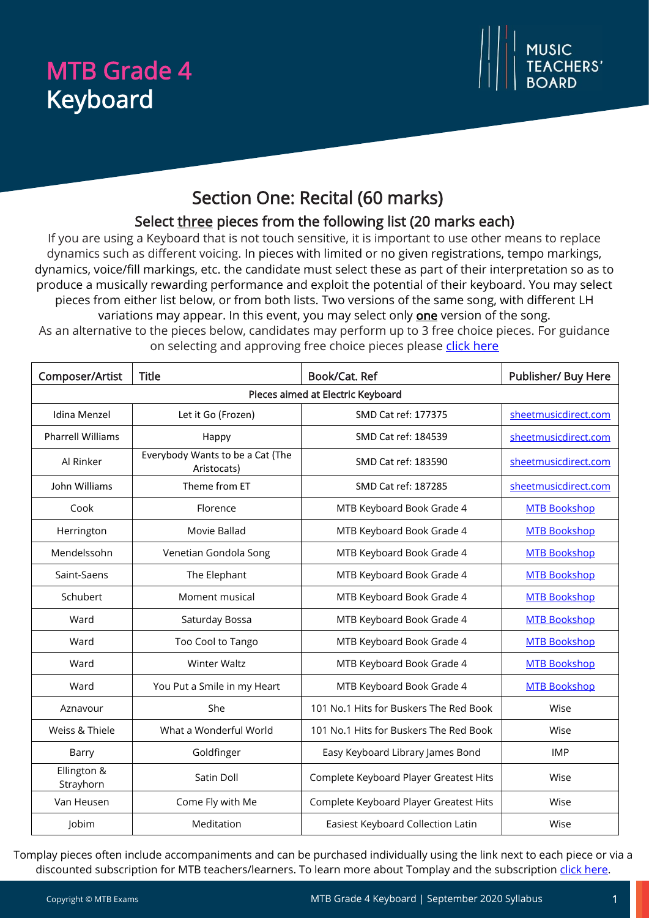# MTB Grade 4 Keyboard



## Section One: Recital (60 marks)

## Select three pieces from the following list (20 marks each)

If you are using a Keyboard that is not touch sensitive, it is important to use other means to replace dynamics such as different voicing. In pieces with limited or no given registrations, tempo markings, dynamics, voice/fill markings, etc. the candidate must select these as part of their interpretation so as to produce a musically rewarding performance and exploit the potential of their keyboard. You may select pieces from either list below, or from both lists. Two versions of the same song, with different LH variations may appear. In this event, you may select only **one** version of the song.

As an alternative to the pieces below, candidates may perform up to 3 free choice pieces. For guidance on selecting and approving free choice pieces please [click here](https://www.mtbexams.com/how-it-works/free-choice-pieces-guidance/)

| Composer/Artist                   | <b>Title</b>                                    | Book/Cat. Ref                          | Publisher/ Buy Here  |  |
|-----------------------------------|-------------------------------------------------|----------------------------------------|----------------------|--|
| Pieces aimed at Electric Keyboard |                                                 |                                        |                      |  |
| Idina Menzel                      | Let it Go (Frozen)                              | SMD Cat ref: 177375                    | sheetmusicdirect.com |  |
| <b>Pharrell Williams</b>          | Happy                                           | SMD Cat ref: 184539                    | sheetmusicdirect.com |  |
| Al Rinker                         | Everybody Wants to be a Cat (The<br>Aristocats) | SMD Cat ref: 183590                    | sheetmusicdirect.com |  |
| John Williams                     | Theme from ET                                   | SMD Cat ref: 187285                    | sheetmusicdirect.com |  |
| Cook                              | Florence                                        | MTB Keyboard Book Grade 4              | <b>MTB Bookshop</b>  |  |
| Herrington                        | Movie Ballad                                    | MTB Keyboard Book Grade 4              | <b>MTB Bookshop</b>  |  |
| Mendelssohn                       | Venetian Gondola Song                           | MTB Keyboard Book Grade 4              | <b>MTB Bookshop</b>  |  |
| Saint-Saens                       | The Elephant                                    | MTB Keyboard Book Grade 4              | <b>MTB Bookshop</b>  |  |
| Schubert                          | Moment musical                                  | MTB Keyboard Book Grade 4              | <b>MTB Bookshop</b>  |  |
| Ward                              | Saturday Bossa                                  | MTB Keyboard Book Grade 4              | <b>MTB Bookshop</b>  |  |
| Ward                              | Too Cool to Tango                               | MTB Keyboard Book Grade 4              | <b>MTB Bookshop</b>  |  |
| Ward                              | <b>Winter Waltz</b>                             | MTB Keyboard Book Grade 4              | <b>MTB Bookshop</b>  |  |
| Ward                              | You Put a Smile in my Heart                     | MTB Keyboard Book Grade 4              | <b>MTB Bookshop</b>  |  |
| Aznavour                          | She                                             | 101 No.1 Hits for Buskers The Red Book | Wise                 |  |
| Weiss & Thiele                    | What a Wonderful World                          | 101 No.1 Hits for Buskers The Red Book | Wise                 |  |
| Barry                             | Goldfinger                                      | Easy Keyboard Library James Bond       | <b>IMP</b>           |  |
| Ellington &<br>Strayhorn          | Satin Doll                                      | Complete Keyboard Player Greatest Hits | Wise                 |  |
| Van Heusen                        | Come Fly with Me                                | Complete Keyboard Player Greatest Hits | Wise                 |  |
| Jobim                             | Meditation                                      | Easiest Keyboard Collection Latin      | Wise                 |  |

Tomplay pieces often include accompaniments and can be purchased individually using the link next to each piece or via a discounted subscription for MTB teachers/learners. To learn more about Tomplay and the subscription [click here.](https://www.mtbexams.com/2020/09/14/mtb-partner-with-tomplay/)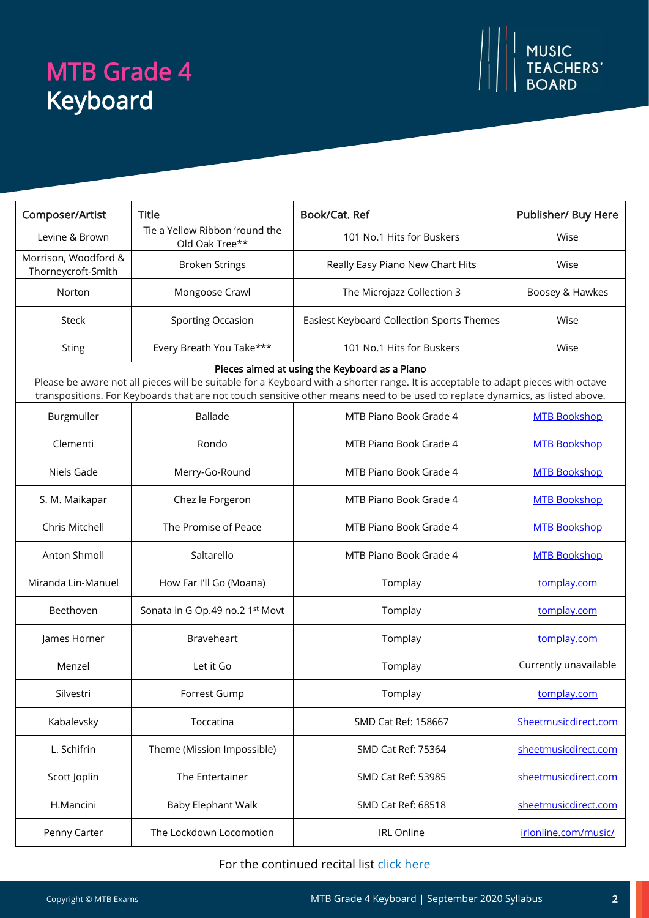# MTB Grade 4 Keyboard



| Composer/Artist                                                                                                                                                                                                                                                                                                    | <b>Title</b>                                     | Book/Cat. Ref                             | <b>Publisher/ Buy Here</b> |  |
|--------------------------------------------------------------------------------------------------------------------------------------------------------------------------------------------------------------------------------------------------------------------------------------------------------------------|--------------------------------------------------|-------------------------------------------|----------------------------|--|
| Levine & Brown                                                                                                                                                                                                                                                                                                     | Tie a Yellow Ribbon 'round the<br>Old Oak Tree** | 101 No.1 Hits for Buskers                 | Wise                       |  |
| Morrison, Woodford &<br>Thorneycroft-Smith                                                                                                                                                                                                                                                                         | <b>Broken Strings</b>                            | Really Easy Piano New Chart Hits          | Wise                       |  |
| Norton                                                                                                                                                                                                                                                                                                             | Mongoose Crawl                                   | The Microjazz Collection 3                | Boosey & Hawkes            |  |
| Steck                                                                                                                                                                                                                                                                                                              | <b>Sporting Occasion</b>                         | Easiest Keyboard Collection Sports Themes | Wise                       |  |
| <b>Sting</b>                                                                                                                                                                                                                                                                                                       | Every Breath You Take***                         | 101 No.1 Hits for Buskers                 | Wise                       |  |
| Pieces aimed at using the Keyboard as a Piano<br>Please be aware not all pieces will be suitable for a Keyboard with a shorter range. It is acceptable to adapt pieces with octave<br>transpositions. For Keyboards that are not touch sensitive other means need to be used to replace dynamics, as listed above. |                                                  |                                           |                            |  |
| Burgmuller                                                                                                                                                                                                                                                                                                         | <b>Ballade</b>                                   | MTB Piano Book Grade 4                    | <b>MTB Bookshop</b>        |  |
| Clementi                                                                                                                                                                                                                                                                                                           | Rondo                                            | MTB Piano Book Grade 4                    | <b>MTB Bookshop</b>        |  |
| Niels Gade                                                                                                                                                                                                                                                                                                         | Merry-Go-Round                                   | MTB Piano Book Grade 4                    | <b>MTB Bookshop</b>        |  |
| S. M. Maikapar                                                                                                                                                                                                                                                                                                     | Chez le Forgeron                                 | MTB Piano Book Grade 4                    | <b>MTB Bookshop</b>        |  |
| Chris Mitchell                                                                                                                                                                                                                                                                                                     | The Promise of Peace                             | MTB Piano Book Grade 4                    | <b>MTB Bookshop</b>        |  |
| Anton Shmoll                                                                                                                                                                                                                                                                                                       | Saltarello                                       | MTB Piano Book Grade 4                    | <b>MTB Bookshop</b>        |  |
| Miranda Lin-Manuel                                                                                                                                                                                                                                                                                                 | How Far I'll Go (Moana)                          | Tomplay                                   | tomplay.com                |  |
| Beethoven                                                                                                                                                                                                                                                                                                          | Sonata in G Op.49 no.2 1st Movt                  | Tomplay                                   | tomplay.com                |  |
| James Horner                                                                                                                                                                                                                                                                                                       | Braveheart                                       | Tomplay                                   | tomplay.com                |  |
| Menzel                                                                                                                                                                                                                                                                                                             | Let it Go                                        | Tomplay                                   | Currently unavailable      |  |
| Silvestri                                                                                                                                                                                                                                                                                                          | Forrest Gump                                     | Tomplay                                   | tomplay.com                |  |
| Kabalevsky                                                                                                                                                                                                                                                                                                         | Toccatina                                        | SMD Cat Ref: 158667                       | Sheetmusicdirect.com       |  |
| L. Schifrin                                                                                                                                                                                                                                                                                                        | Theme (Mission Impossible)                       | SMD Cat Ref: 75364                        | sheetmusicdirect.com       |  |
| Scott Joplin                                                                                                                                                                                                                                                                                                       | The Entertainer                                  | SMD Cat Ref: 53985                        | sheetmusicdirect.com       |  |
| H.Mancini                                                                                                                                                                                                                                                                                                          | <b>Baby Elephant Walk</b>                        | SMD Cat Ref: 68518                        | sheetmusicdirect.com       |  |
| Penny Carter                                                                                                                                                                                                                                                                                                       | The Lockdown Locomotion                          | <b>IRL Online</b>                         | irlonline.com/music/       |  |

### For the continued recital list click here